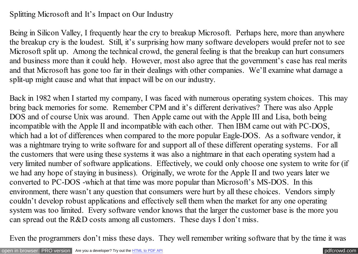## Splitting Microsoft and It's Impact on Our Industry

Being in Silicon Valley, I frequently hear the cry to breakup Microsoft. Perhaps here, more than anywhere the breakup cry is the loudest. Still, it's surprising how many software developers would prefer not to see Microsoft split up. Among the technical crowd, the general feeling is that the breakup can hurt consumers and business more than it could help. However, most also agree that the government's case has real merits and that Microsoft has gone too far in their dealings with other companies. We'll examine what damage a split-up might cause and what that impact will be on our industry.

Back in 1982 when I started my company, I was faced with numerous operating system choices. This may bring back memories for some. Remember CPM and it's different derivatives? There was also Apple DOS and of course Unix was around. Then Apple came out with the Apple III and Lisa, both being incompatible with the Apple II and incompatible with each other. Then IBM came out with PC-DOS, which had a lot of differences when compared to the more popular Eagle-DOS. As a software vendor, it was a nightmare trying to write software for and support all of these different operating systems. For all the customers that were using these systems it was also a nightmare in that each operating system had a very limited number of software applications. Effectively, we could only choose one system to write for (if we had any hope of staying in business). Originally, we wrote for the Apple II and two years later we converted to PC-DOS -which at that time was more popular than Microsoft's MS-DOS. In this environment, there wasn't any question that consumers were hurt by all these choices. Vendors simply couldn't develop robust applications and effectively sell them when the market for any one operating system was too limited. Every software vendor knows that the larger the customer base is the more you can spread out the R&D costs among all customers. These days I don't miss.

Even the programmers don't miss these days. They well remember writing software that by the time it was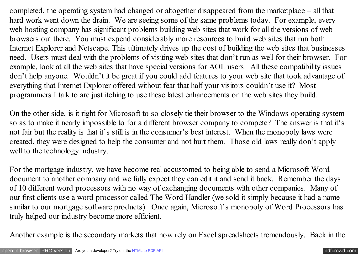completed, the operating system had changed or altogether disappeared from the marketplace – all that hard work went down the drain. We are seeing some of the same problems today. For example, every web hosting company has significant problems building web sites that work for all the versions of web browsers out there. You must expend considerably more resources to build web sites that run both Internet Explorer and Netscape. This ultimately drives up the cost of building the web sites that businesses need. Users must deal with the problems of visiting web sites that don't run as well for their browser. For example, look at all the web sites that have special versions for AOL users. All these compatibility issues don't help anyone. Wouldn't it be great if you could add features to your web site that took advantage of everything that Internet Explorer offered without fear that half your visitors couldn't use it? Most programmers I talk to are just itching to use these latest enhancements on the web sites they build.

On the other side, is it right for Microsoft to so closely tie their browser to the Windows operating system so as to make it nearly impossible to for a different browser company to compete? The answer is that it's not fair but the reality is that it's still is in the consumer's best interest. When the monopoly laws were created, they were designed to help the consumer and not hurt them. Those old laws really don't apply well to the technology industry.

For the mortgage industry, we have become real accustomed to being able to send a Microsoft Word document to another company and we fully expect they can edit it and send it back. Remember the days of 10 different word processors with no way of exchanging documents with other companies. Many of our first clients use a word processor called The Word Handler (we sold it simply because it had a name similar to our mortgage software products). Once again, Microsoft's monopoly of Word Processors has truly helped our industry become more efficient.

Another example is the secondary markets that now rely on Excel spreadsheets tremendously. Back in the